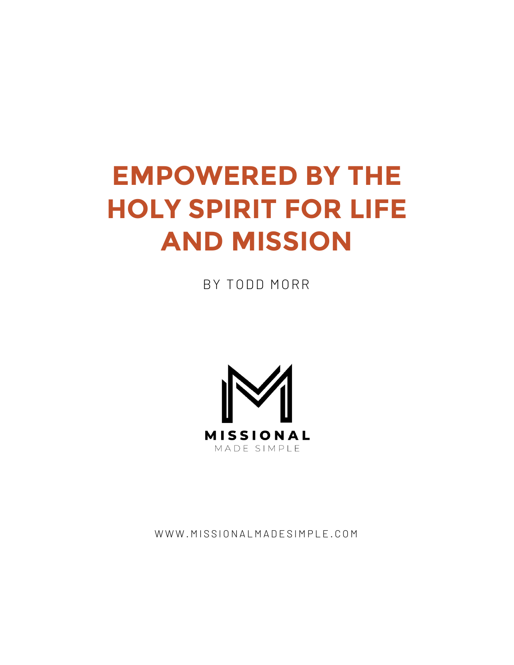# **EMPOWERED BY THE HOLY SPIRIT FOR LIFE AND MISSION**

BY TODD MORR



WWW.MISSIONALMADESIMPLE.COM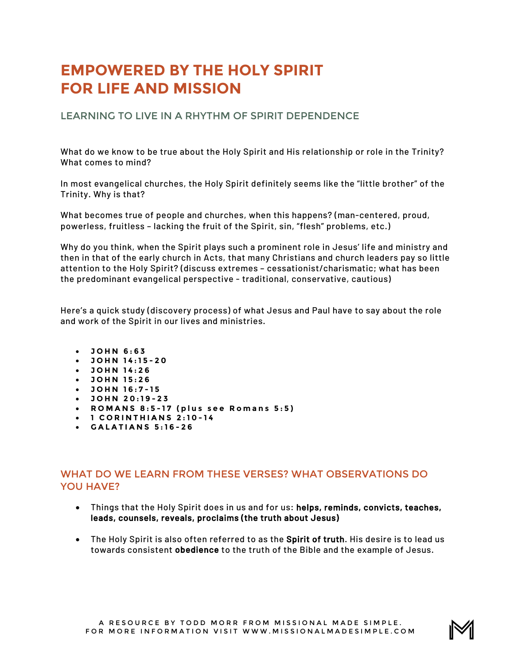## **EMPOWERED BY THE HOLY SPIRIT FOR LIFE AND MISSION**

LEARNING TO LIVE IN A RHYTHM OF SPIRIT DEPENDENCE

What do we know to be true about the Holy Spirit and His relationship or role in the Trinity? What comes to mind?

In most evangelical churches, the Holy Spirit definitely seems like the "little brother" of the Trinity. Why is that?

What becomes true of people and churches, when this happens? (man-centered, proud, powerless, fruitless – lacking the fruit of the Spirit, sin, "flesh" problems, etc.)

Why do you think, when the Spirit plays such a prominent role in Jesus' life and ministry and then in that of the early church in Acts, that many Christians and church leaders pay so little attention to the Holy Spirit? (discuss extremes – cessationist/charismatic; what has been the predominant evangelical perspective - traditional, conservative, cautious)

Here's a quick study (discovery process) of what Jesus and Paul have to say about the role and work of the Spirit in our lives and ministries.

- **JOHN 6:63**
- **JOHN 14:15 - 2 0**
- **JOHN 14:26**
- **JOHN 15:26**
- **JOHN 16:7 - 1 5**
- **JOHN 20:19 - 2 3**
- **ROMANS 8:5 - 17 (plus see Romans 5:5)**
- **1 CORINTHIANS 2:10 - 1 4**
- **GALATIANS 5:16 - 2 6**

#### WHAT DO WE LEARN FROM THESE VERSES? WHAT OBSERVATIONS DO YOU HAVE?

- Things that the Holy Spirit does in us and for us: helps, reminds, convicts, teaches, leads, counsels, reveals, proclaims (the truth about Jesus)
- The Holy Spirit is also often referred to as the Spirit of truth. His desire is to lead us towards consistent obedience to the truth of the Bible and the example of Jesus.

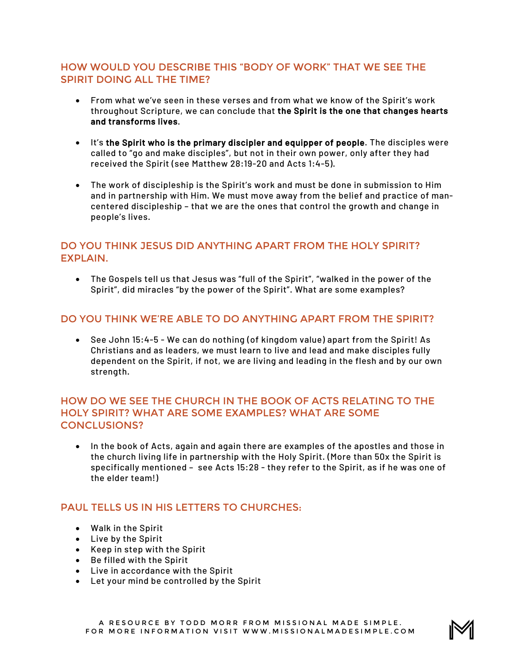#### HOW WOULD YOU DESCRIBE THIS "BODY OF WORK" THAT WE SEE THE SPIRIT DOING ALL THE TIME?

- From what we've seen in these verses and from what we know of the Spirit's work throughout Scripture, we can conclude that the Spirit is the one that changes hearts and transforms lives.
- It's the Spirit who is the primary discipler and equipper of people. The disciples were called to "go and make disciples", but not in their own power, only after they had received the Spirit (see Matthew 28:19-20 and Acts 1:4-5).
- The work of discipleship is the Spirit's work and must be done in submission to Him and in partnership with Him. We must move away from the belief and practice of mancentered discipleship – that we are the ones that control the growth and change in people's lives.

#### DO YOU THINK JESUS DID ANYTHING APART FROM THE HOLY SPIRIT? EXPLAIN.

• The Gospels tell us that Jesus was "full of the Spirit", "walked in the power of the Spirit", did miracles "by the power of the Spirit". What are some examples?

#### DO YOU THINK WE'RE ABLE TO DO ANYTHING APART FROM THE SPIRIT?

• See John 15:4-5 - We can do nothing (of kingdom value) apart from the Spirit! As Christians and as leaders, we must learn to live and lead and make disciples fully dependent on the Spirit, if not, we are living and leading in the flesh and by our own strength.

#### HOW DO WE SEE THE CHURCH IN THE BOOK OF ACTS RELATING TO THE HOLY SPIRIT? WHAT ARE SOME EXAMPLES? WHAT ARE SOME CONCLUSIONS?

• In the book of Acts, again and again there are examples of the apostles and those in the church living life in partnership with the Holy Spirit. (More than 50x the Spirit is specifically mentioned – see Acts 15:28 - they refer to the Spirit, as if he was one of the elder team!)

#### PAUL TELLS US IN HIS LETTERS TO CHURCHES:

- Walk in the Spirit
- Live by the Spirit
- Keep in step with the Spirit
- Be filled with the Spirit
- Live in accordance with the Spirit
- Let your mind be controlled by the Spirit

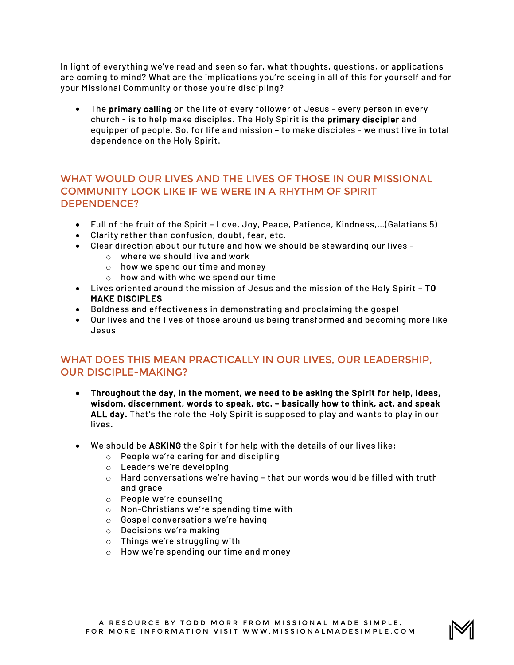In light of everything we've read and seen so far, what thoughts, questions, or applications are coming to mind? What are the implications you're seeing in all of this for yourself and for your Missional Community or those you're discipling?

• The primary calling on the life of every follower of Jesus - every person in every church - is to help make disciples. The Holy Spirit is the primary discipler and equipper of people. So, for life and mission – to make disciples - we must live in total dependence on the Holy Spirit.

#### WHAT WOULD OUR LIVES AND THE LIVES OF THOSE IN OUR MISSIONAL COMMUNITY LOOK LIKE IF WE WERE IN A RHYTHM OF SPIRIT DEPENDENCE?

- Full of the fruit of the Spirit Love, Joy, Peace, Patience, Kindness,…(Galatians 5)
- Clarity rather than confusion, doubt, fear, etc.
- Clear direction about our future and how we should be stewarding our lives
	- o where we should live and work
	- o how we spend our time and money
	- o how and with who we spend our time
- Lives oriented around the mission of Jesus and the mission of the Holy Spirit TO MAKE DISCIPLES
- Boldness and effectiveness in demonstrating and proclaiming the gospel
- Our lives and the lives of those around us being transformed and becoming more like Jesus

#### WHAT DOES THIS MEAN PRACTICALLY IN OUR LIVES, OUR LEADERSHIP, OUR DISCIPLE-MAKING?

- Throughout the day, in the moment, we need to be asking the Spirit for help, ideas, wisdom, discernment, words to speak, etc. – basically how to think, act, and speak ALL day. That's the role the Holy Spirit is supposed to play and wants to play in our lives.
- We should be ASKING the Spirit for help with the details of our lives like:
	- o People we're caring for and discipling
	- o Leaders we're developing
	- $\circ$  Hard conversations we're having that our words would be filled with truth and grace
	- o People we're counseling
	- o Non-Christians we're spending time with
	- o Gospel conversations we're having
	- o Decisions we're making
	- o Things we're struggling with
	- o How we're spending our time and money